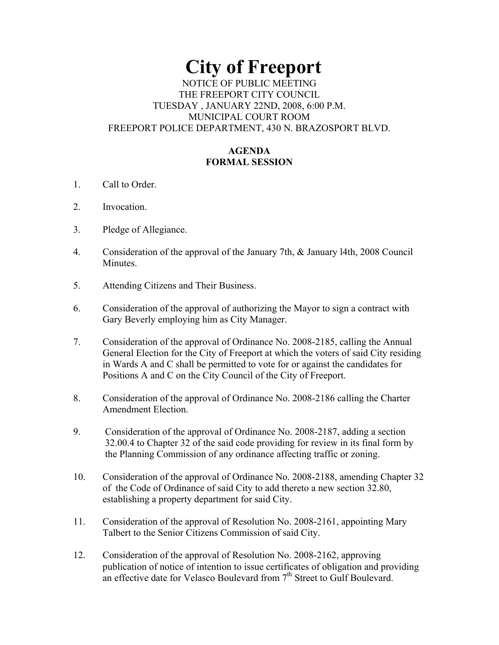# **City of Freeport**  NOTICE OF PUBLIC MEETING THE FREEPORT CITY COUNCIL TUESDAY , JANUARY 22ND, 2008, 6:00 P.M. MUNICIPAL COURT ROOM FREEPORT POLICE DEPARTMENT, 430 N. BRAZOSPORT BLVD.

## **AGENDA FORMAL SESSION**

- 1. Call to Order.
- 2. Invocation.
- 3. Pledge of Allegiance.
- 4. Consideration of the approval of the January 7th, & January l4th, 2008 Council Minutes.
- 5. Attending Citizens and Their Business.
- 6. Consideration of the approval of authorizing the Mayor to sign a contract with Gary Beverly employing him as City Manager.
- 7. Consideration of the approval of Ordinance No. 2008-2185, calling the Annual General Election for the City of Freeport at which the voters of said City residing in Wards A and C shall be permitted to vote for or against the candidates for Positions A and C on the City Council of the City of Freeport.
- 8. Consideration of the approval of Ordinance No. 2008-2186 calling the Charter Amendment Election.
- 9. Consideration of the approval of Ordinance No. 2008-2187, adding a section 32.00.4 to Chapter 32 of the said code providing for review in its final form by the Planning Commission of any ordinance affecting traffic or zoning.
- 10. Consideration of the approval of Ordinance No. 2008-2188, amending Chapter 32 of the Code of Ordinance of said City to add thereto a new section 32.80, establishing a property department for said City.
- 11. Consideration of the approval of Resolution No. 2008-2161, appointing Mary Talbert to the Senior Citizens Commission of said City.
- 12. Consideration of the approval of Resolution No. 2008-2162, approving publication of notice of intention to issue certificates of obligation and providing an effective date for Velasco Boulevard from 7<sup>th</sup> Street to Gulf Boulevard.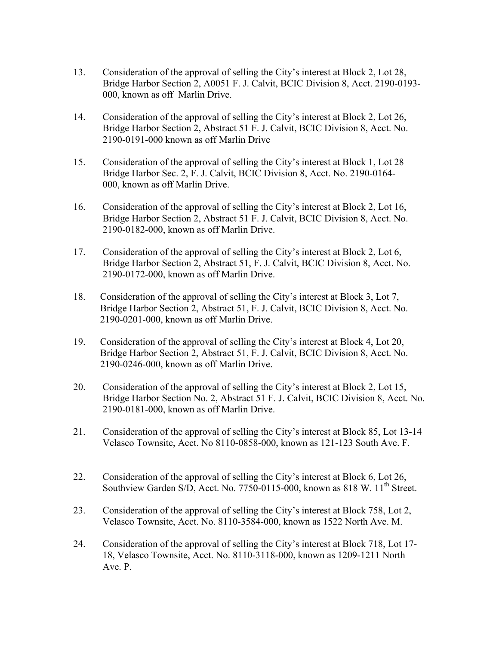- 13. Consideration of the approval of selling the City's interest at Block 2, Lot 28, Bridge Harbor Section 2, A0051 F. J. Calvit, BCIC Division 8, Acct. 2190-0193- 000, known as off Marlin Drive.
- 14. Consideration of the approval of selling the City's interest at Block 2, Lot 26, Bridge Harbor Section 2, Abstract 51 F. J. Calvit, BCIC Division 8, Acct. No. 2190-0191-000 known as off Marlin Drive
- 15. Consideration of the approval of selling the City's interest at Block 1, Lot 28 Bridge Harbor Sec. 2, F. J. Calvit, BCIC Division 8, Acct. No. 2190-0164- 000, known as off Marlin Drive.
- 16. Consideration of the approval of selling the City's interest at Block 2, Lot 16, Bridge Harbor Section 2, Abstract 51 F. J. Calvit, BCIC Division 8, Acct. No. 2190-0182-000, known as off Marlin Drive.
- 17. Consideration of the approval of selling the City's interest at Block 2, Lot 6, Bridge Harbor Section 2, Abstract 51, F. J. Calvit, BCIC Division 8, Acct. No. 2190-0172-000, known as off Marlin Drive.
- 18. Consideration of the approval of selling the City's interest at Block 3, Lot 7, Bridge Harbor Section 2, Abstract 51, F. J. Calvit, BCIC Division 8, Acct. No. 2190-0201-000, known as off Marlin Drive.
- 19. Consideration of the approval of selling the City's interest at Block 4, Lot 20, Bridge Harbor Section 2, Abstract 51, F. J. Calvit, BCIC Division 8, Acct. No. 2190-0246-000, known as off Marlin Drive.
- 20. Consideration of the approval of selling the City's interest at Block 2, Lot 15, Bridge Harbor Section No. 2, Abstract 51 F. J. Calvit, BCIC Division 8, Acct. No. 2190-0181-000, known as off Marlin Drive.
- 21. Consideration of the approval of selling the City's interest at Block 85, Lot 13-14 Velasco Townsite, Acct. No 8110-0858-000, known as 121-123 South Ave. F.
- 22. Consideration of the approval of selling the City's interest at Block 6, Lot 26, Southview Garden S/D, Acct. No. 7750-0115-000, known as 818 W.  $11<sup>th</sup>$  Street.
- 23. Consideration of the approval of selling the City's interest at Block 758, Lot 2, Velasco Townsite, Acct. No. 8110-3584-000, known as 1522 North Ave. M.
- 24. Consideration of the approval of selling the City's interest at Block 718, Lot 17- 18, Velasco Townsite, Acct. No. 8110-3118-000, known as 1209-1211 North Ave. P.